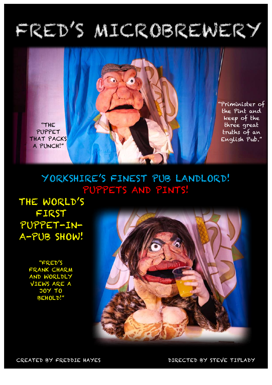# FRED'S MICROBREWERY

"THE PUPPET THAT PACKS A PUNCH!" "Priminister of the Pint and keep of the three great truths of an English Pub."

# YORKSHIRE'S FINEST PUB LANDLORD! PUPPETS AND PINTS!

THE WORLD'S FIRST PUPPET-IN-A-PUB SHOW!

> "FRED'S FRANK CHARM AND WORLDLY VIEWS ARE A JOY TO BEHOLD!"



CREATED BY FREDDIE HAYES DIRECTED BY STEVE TIPLADY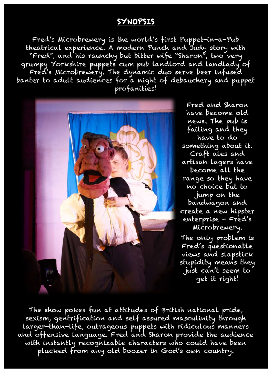### SYNOPSIS

Fred's Microbrewery is the world's first Puppet-in-a-Pub theatrical experience. A modern Punch and Judy story with "Fred", and his raunchy but bitter wife "Sharon", two very grumpy Yorkshire puppets cum pub landlord and landlady of Fred's Microbrewery. The dynamic duo serve beer infused banter to adult audiences for a night of debauchery and puppet profanities!



Fred and Sharon have become old news. The pub is failing and they have to do something about it. Craft ales and artisan lagers have become all the range so they have no choice but to jump on the bandwagon and create a new hipster enterprise - Fred's Microbrewery. The only problem is Fred's questionable views and slapstick stupidity means they just can't seem to

get it right!

The show pokes fun at attitudes of British national pride, sexism, gentrification and self assured masculinity through larger-than-life, outrageous puppets with ridiculous manners and offensive language. Fred and Sharon provide the audience with instantly recognizable characters who could have been plucked from any old boozer in God's own country.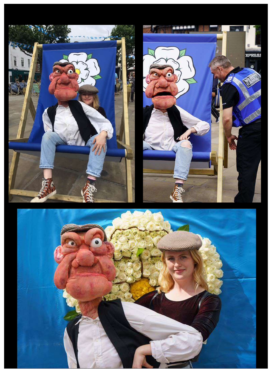

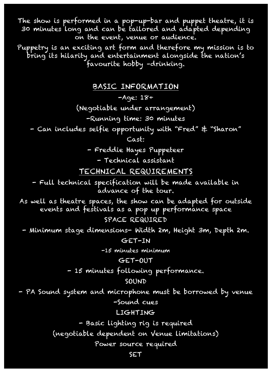The show is performed in a pop-up-bar and puppet theatre, it is 30 minutes long and can be tailored and adapted depending on the event, venue or audience.

Puppetry is an exciting art form and therefore my mission is to bring its hilarity and entertainment alongside the nation's favourite hobby –drinking.

#### BASIC INFORMATION

 $-Aqe: 18+$ 

(Negotiable under arrangement) -Running time: 30 minutes

- Can includes selfie opportunity with "Fred" & "Sharon"

Cast:

- Freddie Hayes Puppeteer - Technical assistant

#### TECHNICAL REQUIREMENTS

- Full technical specification will be made available in advance of the tour.

As well as theatre spaces, the show can be adapted for outside events and festivals as a pop up performance space SPACE REQUIRED

- Minimum stage dimensions- Width 2m, Height 3m, Depth 2m.

GET-IN

-15 minutes minimum

#### GET-OUT

- 15 minutes following performance.

#### SOUND

- PA Sound system and microphone must be borrowed by venue

-Sound cues

#### LIGHTING

- Basic lighting rig is required

(negotiable dependent on Venue limitations)

Power source required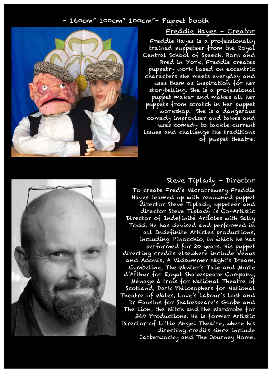#### - 160cm" 100cm" 100cm"- Puppet booth



#### Freddie Hayes – Creator

Freddie Hayes is a professionally trained puppeteer from the Royal Central School of Speech. Born and Bred in York, Freddie creates puppetry work based on eccentric characters she meets everyday and uses them as inspiration for her storytelling. She is a professional puppet maker and makes all her puppets from scratch in her puppet workshop. She is a dangerous comedy improviser and takes and uses comedy to tackle current issues and challenge the traditions of puppet theatre.

#### <u> Steve Tiplady - Director</u>

To create Fred's Microbrewery Freddie Hayes teamed up with renowned puppet director Steve Tiplady, uppeteer and director Steve Tiplady is Co-Artistic Director of Indefinite Articles with Sally Todd. He has devised and performed in all Indefinite Articles productions, including Pinocchio, in which he has performed for 20 years. His puppet directing credits elsewhere include Venus and Adonis, A Midsummer Night's Dream, Cymbeline, The Winter's Tale and Morte d'Arthur for Royal Shakespeare Company, Ménage à trois for National Theatre of Scotland, Dark Philosophers for National Theatre of Wales, Love's Labour's Lost and Dr Faustus for Shakespeare's Globe and The Lion, the Witch and the Wardrobe for 360 Productions. He is former Artistic Director of Little Angel Theatre, where his directing credits since include Jabberwocky and The Journey Home.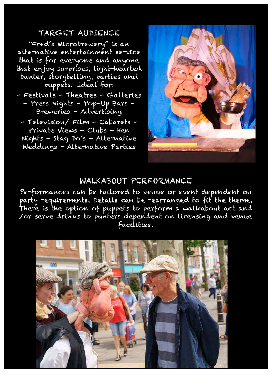## TARGET AUDIENCE

"Fred's Microbrewery" is an alternative entertainment service that is for everyone and anyone that enjoy surprises, light-hearted banter, storytelling, parties and puppets. Ideal for:

- Festivals Theatres Galleries - Press Nights - Pop-Up Bars - Breweries - Advertising
	- Television/ Film Cabarets Private Views - Clubs - Hen Nights - Stag Do's - Alternative Weddings - Alternative Parties



#### WALKABOUT PERFORMANCE

Performances can be tailored to venue or event dependent on party requirements. Details can be rearranged to fit the theme. There is the option of puppets to perform a walkabout act and /or serve drinks to punters dependent on licensing and venue facilities.

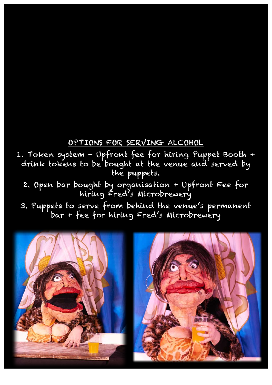## OPTIONS FOR SERVING ALCOHOL

- 1. Token system Upfront fee for hiring Puppet Booth + drink tokens to be bought at the venue and served by the puppets.
	- 2. Open bar bought by organisation + Upfront Fee for hiring Fred's Microbrewery
- 3. Puppets to serve from behind the venue's permanent bar + fee for hiring Fred's Microbrewery

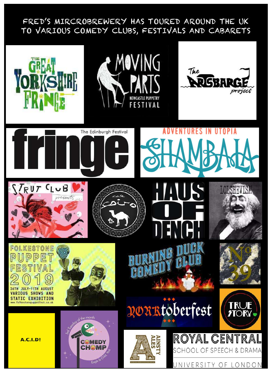# FRED'S MIRCROBREWERY HAS TOURED AROUND THE UK TO VARIOUS COMEDY CLUBS, FESTIVALS AND CABARETS